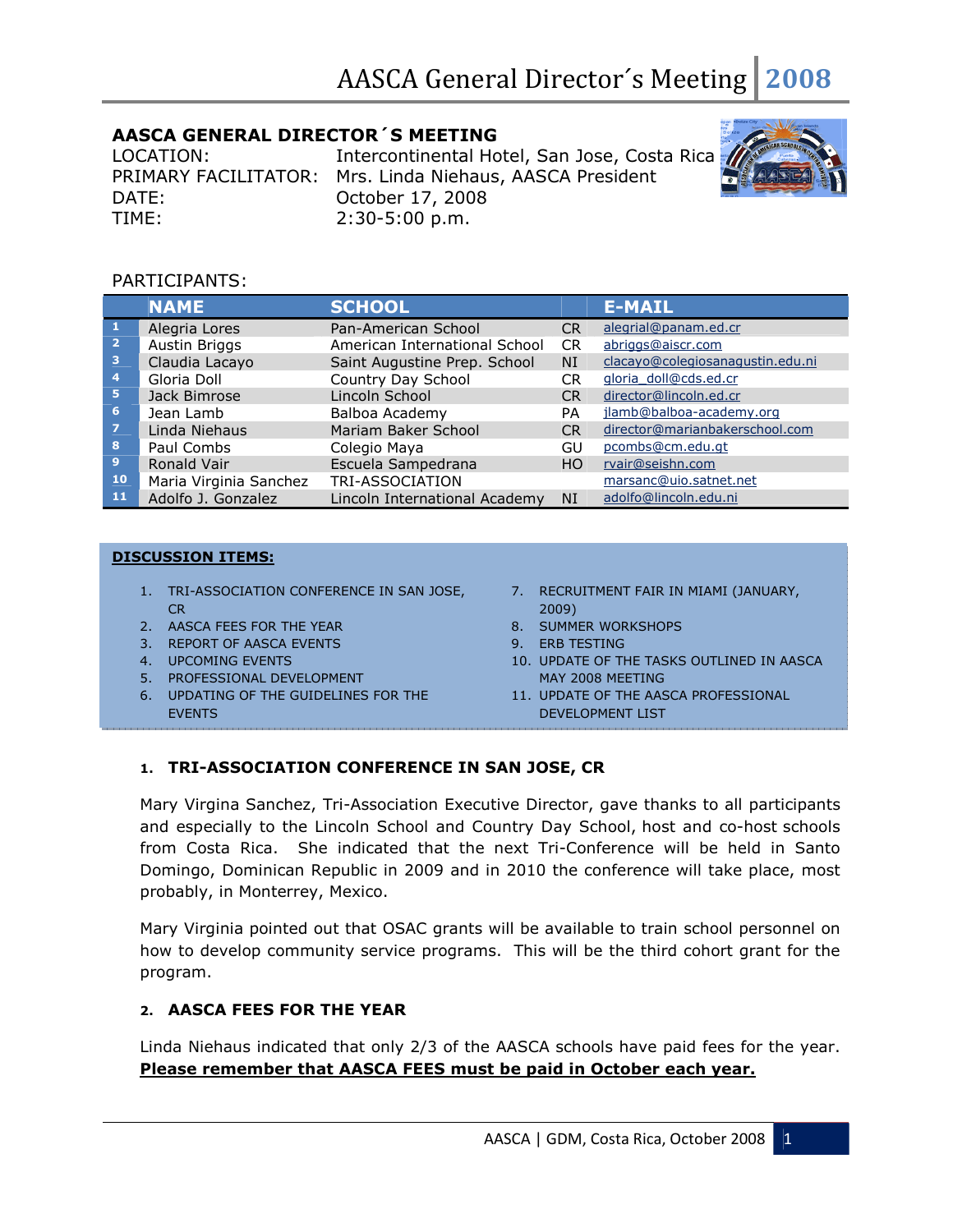# AASCA GENERAL DIRECTOR´S MEETING

DATE: October 17, 2008 TIME: 2:30-5:00 p.m.

LOCATION: Intercontinental Hotel, San Jose, Costa Rica PRIMARY FACILITATOR: Mrs. Linda Niehaus, AASCA President



### PARTICIPANTS:

|                         | <b>NAME</b>            | <b>SCHOOL</b>                 |           | <b>E-MAIL</b>                    |
|-------------------------|------------------------|-------------------------------|-----------|----------------------------------|
|                         | Alegria Lores          | Pan-American School           | CR.       | alegrial@panam.ed.cr             |
| $\mathbf{2}$            | <b>Austin Briggs</b>   | American International School | <b>CR</b> | abriggs@aiscr.com                |
| $\overline{\mathbf{3}}$ | Claudia Lacayo         | Saint Augustine Prep. School  | <b>NI</b> | clacayo@colegiosanagustin.edu.ni |
| $\overline{4}$          | Gloria Doll            | Country Day School            | CR.       | gloria doll@cds.ed.cr            |
| -5                      | Jack Bimrose           | Lincoln School                | <b>CR</b> | director@lincoln.ed.cr           |
| 6 <sup>1</sup>          | Jean Lamb              | Balboa Academy                | PA        | jlamb@balboa-academy.org         |
| $\overline{z}$          | Linda Niehaus          | Mariam Baker School           | <b>CR</b> | director@marianbakerschool.com   |
| 8                       | Paul Combs             | Colegio Maya                  | GU        | pcombs@cm.edu.gt                 |
| 9                       | Ronald Vair            | Escuela Sampedrana            | HO.       | rvair@seishn.com                 |
| 10                      | Maria Virginia Sanchez | TRI-ASSOCIATION               |           | marsanc@uio.satnet.net           |
| 11                      | Adolfo J. Gonzalez     | Lincoln International Academy | <b>NI</b> | adolfo@lincoln.edu.ni            |

#### DISCUSSION ITEMS:

- 1. TRI-ASSOCIATION CONFERENCE IN SAN JOSE, CR
- 2. AASCA FEES FOR THE YEAR
- 3. REPORT OF AASCA EVENTS
- 4. UPCOMING EVENTS
- 5. PROFESSIONAL DEVELOPMENT
- 6. UPDATING OF THE GUIDELINES FOR THE EVENTS
- 7. RECRUITMENT FAIR IN MIAMI (JANUARY, 2009)
- 8. SUMMER WORKSHOPS
- 9. ERB TESTING
- 10. UPDATE OF THE TASKS OUTLINED IN AASCA MAY 2008 MEETING
- 11. UPDATE OF THE AASCA PROFESSIONAL DEVELOPMENT LIST

### 1. TRI-ASSOCIATION CONFERENCE IN SAN JOSE, CR

Mary Virgina Sanchez, Tri-Association Executive Director, gave thanks to all participants and especially to the Lincoln School and Country Day School, host and co-host schools from Costa Rica. She indicated that the next Tri-Conference will be held in Santo Domingo, Dominican Republic in 2009 and in 2010 the conference will take place, most probably, in Monterrey, Mexico.

Mary Virginia pointed out that OSAC grants will be available to train school personnel on how to develop community service programs. This will be the third cohort grant for the program.

### 2. AASCA FEES FOR THE YEAR

Linda Niehaus indicated that only 2/3 of the AASCA schools have paid fees for the year. Please remember that AASCA FEES must be paid in October each year.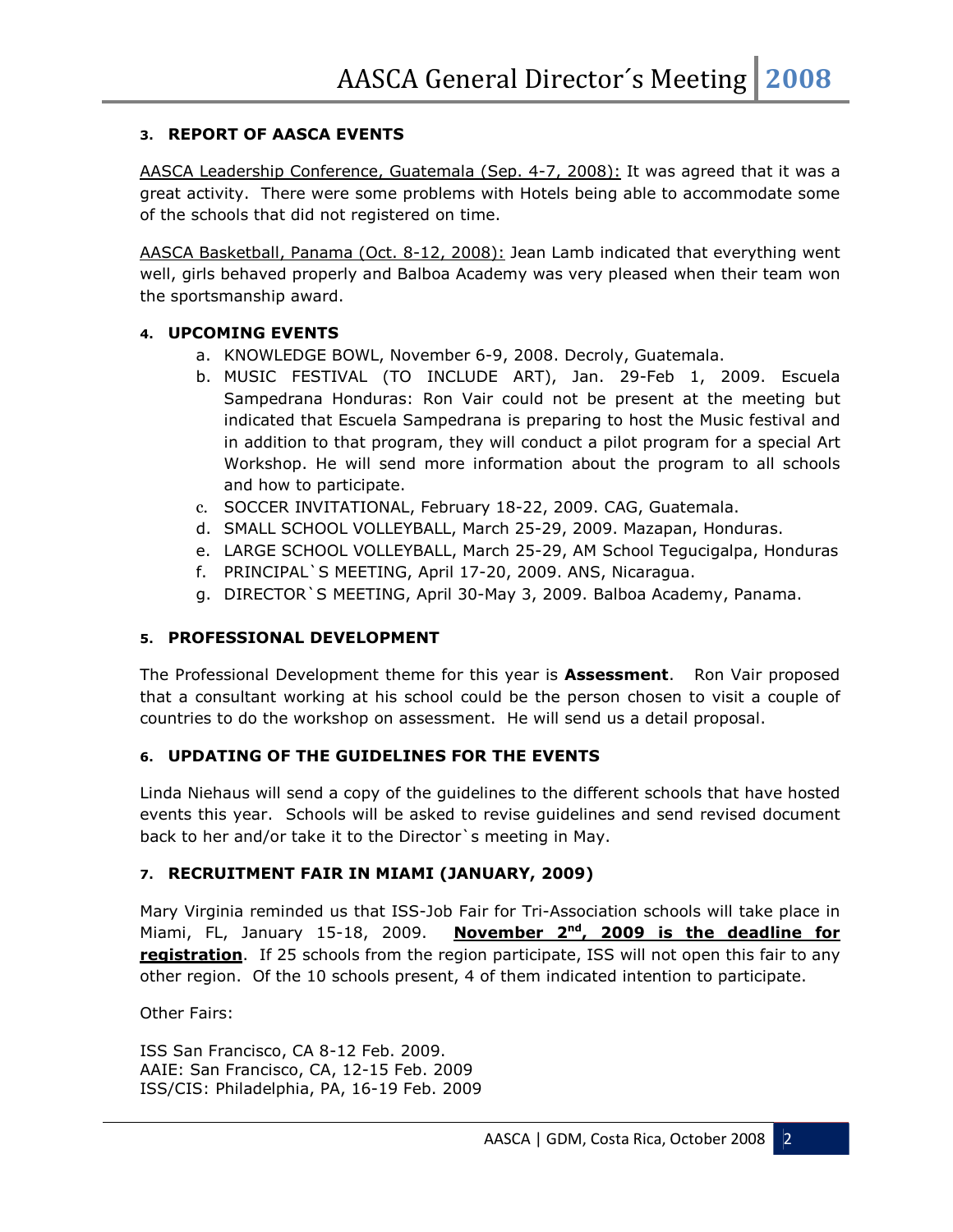### 3. REPORT OF AASCA EVENTS

AASCA Leadership Conference, Guatemala (Sep. 4-7, 2008): It was agreed that it was a great activity. There were some problems with Hotels being able to accommodate some of the schools that did not registered on time.

AASCA Basketball, Panama (Oct. 8-12, 2008): Jean Lamb indicated that everything went well, girls behaved properly and Balboa Academy was very pleased when their team won the sportsmanship award.

### 4. UPCOMING EVENTS

- a. KNOWLEDGE BOWL, November 6-9, 2008. Decroly, Guatemala.
- b. MUSIC FESTIVAL (TO INCLUDE ART), Jan. 29-Feb 1, 2009. Escuela Sampedrana Honduras: Ron Vair could not be present at the meeting but indicated that Escuela Sampedrana is preparing to host the Music festival and in addition to that program, they will conduct a pilot program for a special Art Workshop. He will send more information about the program to all schools and how to participate.
- c. SOCCER INVITATIONAL, February 18-22, 2009. CAG, Guatemala.
- d. SMALL SCHOOL VOLLEYBALL, March 25-29, 2009. Mazapan, Honduras.
- e. LARGE SCHOOL VOLLEYBALL, March 25-29, AM School Tegucigalpa, Honduras
- f. PRINCIPAL`S MEETING, April 17-20, 2009. ANS, Nicaragua.
- g. DIRECTOR`S MEETING, April 30-May 3, 2009. Balboa Academy, Panama.

### 5. PROFESSIONAL DEVELOPMENT

The Professional Development theme for this year is **Assessment**. Ron Vair proposed that a consultant working at his school could be the person chosen to visit a couple of countries to do the workshop on assessment. He will send us a detail proposal.

### 6. UPDATING OF THE GUIDELINES FOR THE EVENTS

Linda Niehaus will send a copy of the guidelines to the different schools that have hosted events this year. Schools will be asked to revise guidelines and send revised document back to her and/or take it to the Director`s meeting in May.

# 7. RECRUITMENT FAIR IN MIAMI (JANUARY, 2009)

Mary Virginia reminded us that ISS-Job Fair for Tri-Association schools will take place in Miami, FL, January 15-18, 2009. November  $2<sup>nd</sup>$ , 2009 is the deadline for registration. If 25 schools from the region participate, ISS will not open this fair to any other region. Of the 10 schools present, 4 of them indicated intention to participate.

Other Fairs:

ISS San Francisco, CA 8-12 Feb. 2009. AAIE: San Francisco, CA, 12-15 Feb. 2009 ISS/CIS: Philadelphia, PA, 16-19 Feb. 2009